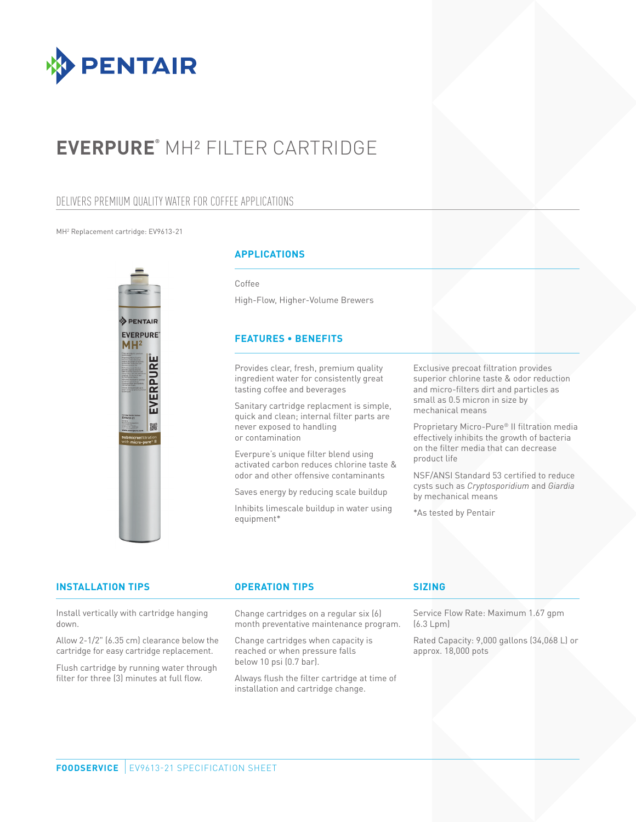

# **EVERPURE®** MH² FILTER CARTRIDGE

## DELIVERS PREMIUM QUALITY WATER FOR COFFEE APPLICATIONS

### MH2 Replacement cartridge: EV9613-21



## **APPLICATIONS**

Coffee

High-Flow, Higher-Volume Brewers

### **FEATURES • BENEFITS**

Provides clear, fresh, premium quality ingredient water for consistently great tasting coffee and beverages

Sanitary cartridge replacment is simple, quick and clean; internal filter parts are never exposed to handling or contamination

Everpure's unique filter blend using activated carbon reduces chlorine taste & odor and other offensive contaminants

Saves energy by reducing scale buildup

Inhibits limescale buildup in water using equipment\*

Exclusive precoat filtration provides superior chlorine taste & odor reduction and micro-filters dirt and particles as small as 0.5 micron in size by mechanical means

Proprietary Micro-Pure® II filtration media effectively inhibits the growth of bacteria on the filter media that can decrease product life

NSF/ANSI Standard 53 certified to reduce cysts such as *Cryptosporidium* and *Giardia* by mechanical means

\*As tested by Pentair

| <b>INSTALLATION TIPS</b>                                                                                                                                                          | <b>OPERATION TIPS</b>                                                                           | <b>SIZING</b>                                                      |
|-----------------------------------------------------------------------------------------------------------------------------------------------------------------------------------|-------------------------------------------------------------------------------------------------|--------------------------------------------------------------------|
| Install vertically with cartridge hanging<br>down.                                                                                                                                | Change cartridges on a regular six (6)<br>month preventative maintenance program.               | Service Flow Rate: Maximum 1.67 gpm<br>(6.3 Lpm)                   |
| Allow 2-1/2" (6.35 cm) clearance below the<br>cartridge for easy cartridge replacement.<br>Flush cartridge by running water through<br>filter for three (3) minutes at full flow. | Change cartridges when capacity is<br>reached or when pressure falls<br>below 10 psi (0.7 bar). | Rated Capacity: 9,000 gallons (34,068 L) or<br>approx. 18,000 pots |
|                                                                                                                                                                                   | Always flush the filter cartridge at time of<br>installation and cartridge change.              |                                                                    |